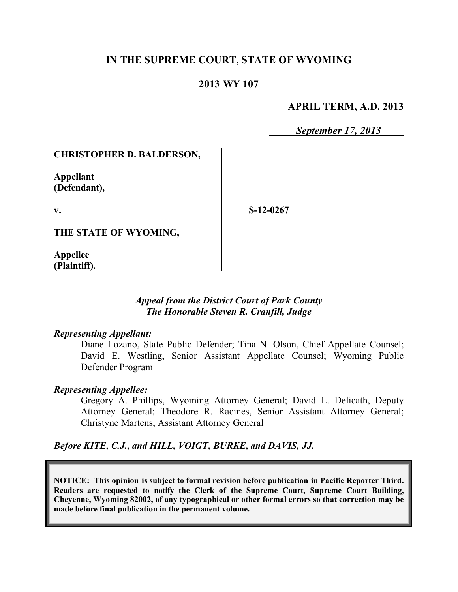# **IN THE SUPREME COURT, STATE OF WYOMING**

# **2013 WY 107**

## **APRIL TERM, A.D. 2013**

*September 17, 2013*

## **CHRISTOPHER D. BALDERSON,**

**Appellant (Defendant),**

**v.**

**S-12-0267**

**THE STATE OF WYOMING,**

**Appellee (Plaintiff).**

## *Appeal from the District Court of Park County The Honorable Steven R. Cranfill, Judge*

#### *Representing Appellant:*

Diane Lozano, State Public Defender; Tina N. Olson, Chief Appellate Counsel; David E. Westling, Senior Assistant Appellate Counsel; Wyoming Public Defender Program

## *Representing Appellee:*

Gregory A. Phillips, Wyoming Attorney General; David L. Delicath, Deputy Attorney General; Theodore R. Racines, Senior Assistant Attorney General; Christyne Martens, Assistant Attorney General

*Before KITE, C.J., and HILL, VOIGT, BURKE, and DAVIS, JJ.*

**NOTICE: This opinion is subject to formal revision before publication in Pacific Reporter Third. Readers are requested to notify the Clerk of the Supreme Court, Supreme Court Building, Cheyenne, Wyoming 82002, of any typographical or other formal errors so that correction may be made before final publication in the permanent volume.**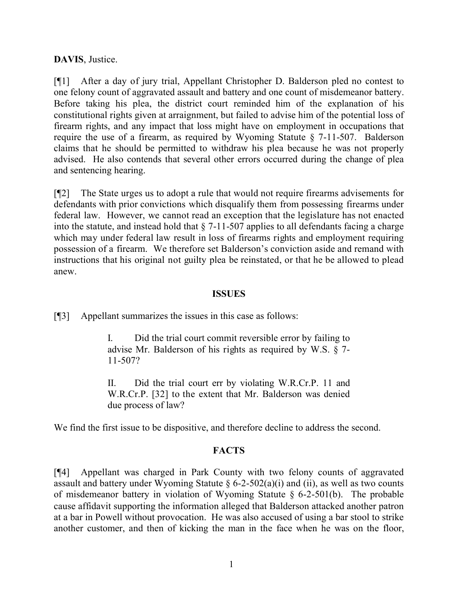# **DAVIS**, Justice.

[¶1] After a day of jury trial, Appellant Christopher D. Balderson pled no contest to one felony count of aggravated assault and battery and one count of misdemeanor battery. Before taking his plea, the district court reminded him of the explanation of his constitutional rights given at arraignment, but failed to advise him of the potential loss of firearm rights, and any impact that loss might have on employment in occupations that require the use of a firearm, as required by Wyoming Statute § 7-11-507. Balderson claims that he should be permitted to withdraw his plea because he was not properly advised. He also contends that several other errors occurred during the change of plea and sentencing hearing.

[¶2] The State urges us to adopt a rule that would not require firearms advisements for defendants with prior convictions which disqualify them from possessing firearms under federal law. However, we cannot read an exception that the legislature has not enacted into the statute, and instead hold that  $\S$  7-11-507 applies to all defendants facing a charge which may under federal law result in loss of firearms rights and employment requiring possession of a firearm. We therefore set Balderson's conviction aside and remand with instructions that his original not guilty plea be reinstated, or that he be allowed to plead anew.

## **ISSUES**

[¶3] Appellant summarizes the issues in this case as follows:

I. Did the trial court commit reversible error by failing to advise Mr. Balderson of his rights as required by W.S. § 7- 11-507?

II. Did the trial court err by violating W.R.Cr.P. 11 and W.R.Cr.P. [32] to the extent that Mr. Balderson was denied due process of law?

We find the first issue to be dispositive, and therefore decline to address the second.

# **FACTS**

[¶4] Appellant was charged in Park County with two felony counts of aggravated assault and battery under Wyoming Statute  $\S 6$ -2-502(a)(i) and (ii), as well as two counts of misdemeanor battery in violation of Wyoming Statute § 6-2-501(b). The probable cause affidavit supporting the information alleged that Balderson attacked another patron at a bar in Powell without provocation. He was also accused of using a bar stool to strike another customer, and then of kicking the man in the face when he was on the floor,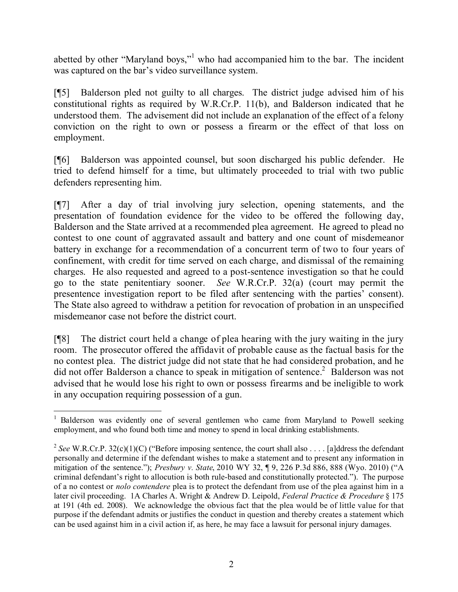abetted by other "Maryland boys,"<sup>1</sup> who had accompanied him to the bar. The incident was captured on the bar's video surveillance system.

[¶5] Balderson pled not guilty to all charges. The district judge advised him of his constitutional rights as required by W.R.Cr.P. 11(b), and Balderson indicated that he understood them. The advisement did not include an explanation of the effect of a felony conviction on the right to own or possess a firearm or the effect of that loss on employment.

[¶6] Balderson was appointed counsel, but soon discharged his public defender. He tried to defend himself for a time, but ultimately proceeded to trial with two public defenders representing him.

[¶7] After a day of trial involving jury selection, opening statements, and the presentation of foundation evidence for the video to be offered the following day, Balderson and the State arrived at a recommended plea agreement. He agreed to plead no contest to one count of aggravated assault and battery and one count of misdemeanor battery in exchange for a recommendation of a concurrent term of two to four years of confinement, with credit for time served on each charge, and dismissal of the remaining charges. He also requested and agreed to a post-sentence investigation so that he could go to the state penitentiary sooner. *See* W.R.Cr.P. 32(a) (court may permit the presentence investigation report to be filed after sentencing with the parties' consent). The State also agreed to withdraw a petition for revocation of probation in an unspecified misdemeanor case not before the district court.

[¶8] The district court held a change of plea hearing with the jury waiting in the jury room. The prosecutor offered the affidavit of probable cause as the factual basis for the no contest plea. The district judge did not state that he had considered probation, and he did not offer Balderson a chance to speak in mitigation of sentence.<sup>2</sup> Balderson was not advised that he would lose his right to own or possess firearms and be ineligible to work in any occupation requiring possession of a gun.

 $\overline{a}$ <sup>1</sup> Balderson was evidently one of several gentlemen who came from Maryland to Powell seeking employment, and who found both time and money to spend in local drinking establishments.

<sup>&</sup>lt;sup>2</sup> See W.R.Cr.P. 32(c)(1)(C) ("Before imposing sentence, the court shall also . . . . [a]ddress the defendant personally and determine if the defendant wishes to make a statement and to present any information in mitigation of the sentence."); *Presbury v. State*, 2010 WY 32, ¶ 9, 226 P.3d 886, 888 (Wyo. 2010) ("A criminal defendant's right to allocution is both rule-based and constitutionally protected."). The purpose of a no contest or *nolo contendere* plea is to protect the defendant from use of the plea against him in a later civil proceeding. 1A Charles A. Wright & Andrew D. Leipold, *Federal Practice & Procedure* § 175 at 191 (4th ed. 2008). We acknowledge the obvious fact that the plea would be of little value for that purpose if the defendant admits or justifies the conduct in question and thereby creates a statement which can be used against him in a civil action if, as here, he may face a lawsuit for personal injury damages.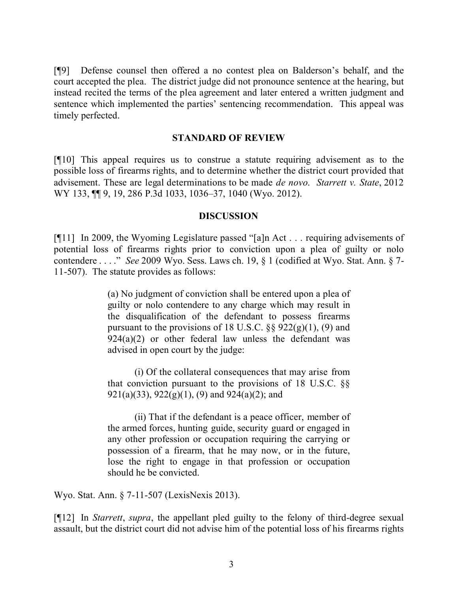[¶9] Defense counsel then offered a no contest plea on Balderson's behalf, and the court accepted the plea. The district judge did not pronounce sentence at the hearing, but instead recited the terms of the plea agreement and later entered a written judgment and sentence which implemented the parties' sentencing recommendation. This appeal was timely perfected.

#### **STANDARD OF REVIEW**

[¶10] This appeal requires us to construe a statute requiring advisement as to the possible loss of firearms rights, and to determine whether the district court provided that advisement. These are legal determinations to be made *de novo*. *Starrett v. State*, 2012 WY 133, ¶¶ 9, 19, 286 P.3d 1033, 1036–37, 1040 (Wyo. 2012).

#### **DISCUSSION**

[¶11] In 2009, the Wyoming Legislature passed "[a]n Act . . . requiring advisements of potential loss of firearms rights prior to conviction upon a plea of guilty or nolo contendere . . . ." *See* 2009 Wyo. Sess. Laws ch. 19, § 1 (codified at Wyo. Stat. Ann. § 7- 11-507). The statute provides as follows:

> (a) No judgment of conviction shall be entered upon a plea of guilty or nolo contendere to any charge which may result in the disqualification of the defendant to possess firearms pursuant to the provisions of 18 U.S.C.  $\S$ § 922(g)(1), (9) and  $924(a)(2)$  or other federal law unless the defendant was advised in open court by the judge:

> (i) Of the collateral consequences that may arise from that conviction pursuant to the provisions of 18 U.S.C. §§ 921(a)(33), 922(g)(1), (9) and 924(a)(2); and

> (ii) That if the defendant is a peace officer, member of the armed forces, hunting guide, security guard or engaged in any other profession or occupation requiring the carrying or possession of a firearm, that he may now, or in the future, lose the right to engage in that profession or occupation should he be convicted.

Wyo. Stat. Ann. § 7-11-507 (LexisNexis 2013).

[¶12] In *Starrett*, *supra*, the appellant pled guilty to the felony of third-degree sexual assault, but the district court did not advise him of the potential loss of his firearms rights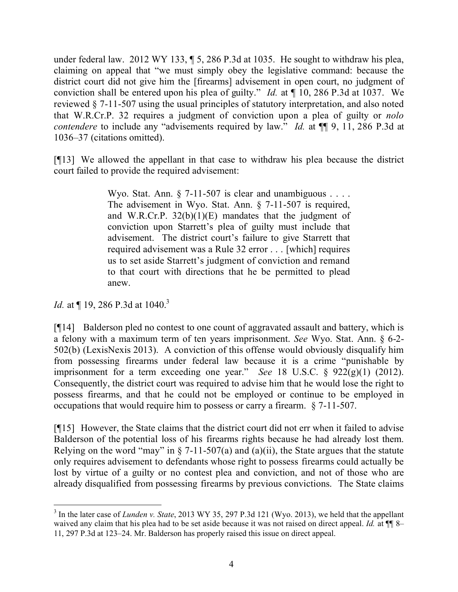under federal law. 2012 WY 133, ¶ 5, 286 P.3d at 1035. He sought to withdraw his plea, claiming on appeal that "we must simply obey the legislative command: because the district court did not give him the [firearms] advisement in open court, no judgment of conviction shall be entered upon his plea of guilty." *Id.* at ¶ 10, 286 P.3d at 1037. We reviewed § 7-11-507 using the usual principles of statutory interpretation, and also noted that W.R.Cr.P. 32 requires a judgment of conviction upon a plea of guilty or *nolo contendere* to include any "advisements required by law." *Id.* at  $\P$  9, 11, 286 P.3d at 1036–37 (citations omitted).

[¶13] We allowed the appellant in that case to withdraw his plea because the district court failed to provide the required advisement:

> Wyo. Stat. Ann. § 7-11-507 is clear and unambiguous . . . . The advisement in Wyo. Stat. Ann. § 7-11-507 is required, and W.R.Cr.P.  $32(b)(1)(E)$  mandates that the judgment of conviction upon Starrett's plea of guilty must include that advisement. The district court's failure to give Starrett that required advisement was a Rule 32 error . . . [which] requires us to set aside Starrett's judgment of conviction and remand to that court with directions that he be permitted to plead anew.

*Id.* at  $\P$  19, 286 P.3d at 1040.<sup>3</sup>

[¶14] Balderson pled no contest to one count of aggravated assault and battery, which is a felony with a maximum term of ten years imprisonment. *See* Wyo. Stat. Ann. § 6-2- 502(b) (LexisNexis 2013). A conviction of this offense would obviously disqualify him from possessing firearms under federal law because it is a crime "punishable by imprisonment for a term exceeding one year." *See* 18 U.S.C. § 922(g)(1) (2012). Consequently, the district court was required to advise him that he would lose the right to possess firearms, and that he could not be employed or continue to be employed in occupations that would require him to possess or carry a firearm. § 7-11-507.

[¶15] However, the State claims that the district court did not err when it failed to advise Balderson of the potential loss of his firearms rights because he had already lost them. Relying on the word "may" in  $\S$  7-11-507(a) and (a)(ii), the State argues that the statute only requires advisement to defendants whose right to possess firearms could actually be lost by virtue of a guilty or no contest plea and conviction, and not of those who are already disqualified from possessing firearms by previous convictions. The State claims

<sup>&</sup>lt;sup>3</sup> In the later case of *Lunden v. State*, 2013 WY 35, 297 P.3d 121 (Wyo. 2013), we held that the appellant waived any claim that his plea had to be set aside because it was not raised on direct appeal. *Id.* at  $\P$  8– 11, 297 P.3d at 123–24. Mr. Balderson has properly raised this issue on direct appeal.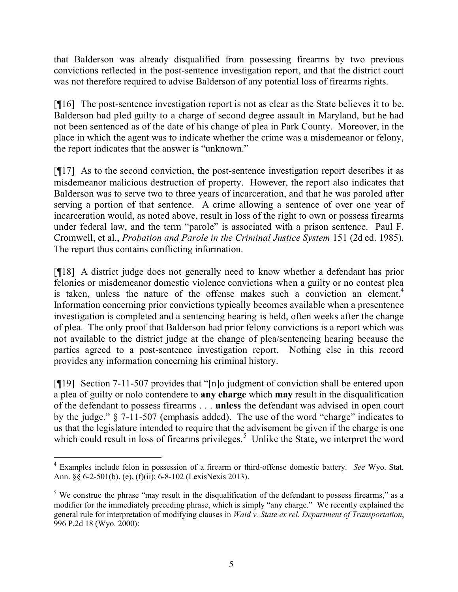that Balderson was already disqualified from possessing firearms by two previous convictions reflected in the post-sentence investigation report, and that the district court was not therefore required to advise Balderson of any potential loss of firearms rights.

[¶16] The post-sentence investigation report is not as clear as the State believes it to be. Balderson had pled guilty to a charge of second degree assault in Maryland, but he had not been sentenced as of the date of his change of plea in Park County. Moreover, in the place in which the agent was to indicate whether the crime was a misdemeanor or felony, the report indicates that the answer is "unknown."

[¶17] As to the second conviction, the post-sentence investigation report describes it as misdemeanor malicious destruction of property. However, the report also indicates that Balderson was to serve two to three years of incarceration, and that he was paroled after serving a portion of that sentence. A crime allowing a sentence of over one year of incarceration would, as noted above, result in loss of the right to own or possess firearms under federal law, and the term "parole" is associated with a prison sentence. Paul F. Cromwell, et al., *Probation and Parole in the Criminal Justice System* 151 (2d ed. 1985). The report thus contains conflicting information.

[¶18] A district judge does not generally need to know whether a defendant has prior felonies or misdemeanor domestic violence convictions when a guilty or no contest plea is taken, unless the nature of the offense makes such a conviction an element.<sup>4</sup> Information concerning prior convictions typically becomes available when a presentence investigation is completed and a sentencing hearing is held, often weeks after the change of plea. The only proof that Balderson had prior felony convictions is a report which was not available to the district judge at the change of plea/sentencing hearing because the parties agreed to a post-sentence investigation report. Nothing else in this record provides any information concerning his criminal history.

[¶19] Section 7-11-507 provides that "[n]o judgment of conviction shall be entered upon a plea of guilty or nolo contendere to **any charge** which **may** result in the disqualification of the defendant to possess firearms . . . **unless** the defendant was advised in open court by the judge." § 7-11-507 (emphasis added). The use of the word "charge" indicates to us that the legislature intended to require that the advisement be given if the charge is one which could result in loss of firearms privileges.<sup>5</sup> Unlike the State, we interpret the word

<sup>4</sup> Examples include felon in possession of a firearm or third-offense domestic battery. *See* Wyo. Stat. Ann. §§ 6-2-501(b), (e), (f)(ii); 6-8-102 (LexisNexis 2013).

<sup>&</sup>lt;sup>5</sup> We construe the phrase "may result in the disqualification of the defendant to possess firearms," as a modifier for the immediately preceding phrase, which is simply "any charge." We recently explained the general rule for interpretation of modifying clauses in *Waid v. State ex rel. Department of Transportation*, 996 P.2d 18 (Wyo. 2000):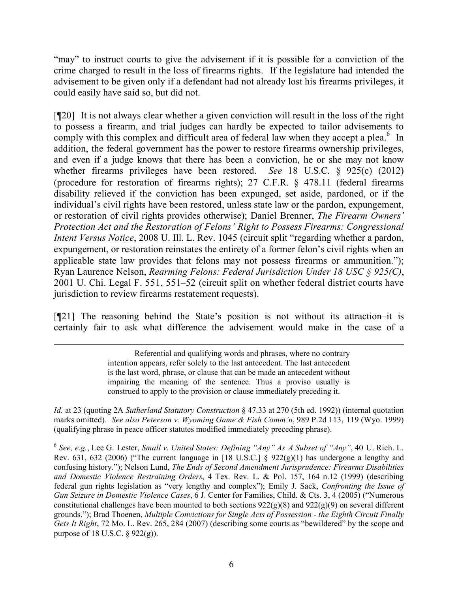"may" to instruct courts to give the advisement if it is possible for a conviction of the crime charged to result in the loss of firearms rights. If the legislature had intended the advisement to be given only if a defendant had not already lost his firearms privileges, it could easily have said so, but did not.

[¶20] It is not always clear whether a given conviction will result in the loss of the right to possess a firearm, and trial judges can hardly be expected to tailor advisements to comply with this complex and difficult area of federal law when they accept a plea. $6$  In addition, the federal government has the power to restore firearms ownership privileges, and even if a judge knows that there has been a conviction, he or she may not know whether firearms privileges have been restored. *See* 18 U.S.C. § 925(c) (2012) (procedure for restoration of firearms rights); 27 C.F.R. § 478.11 (federal firearms disability relieved if the conviction has been expunged, set aside, pardoned, or if the individual's civil rights have been restored, unless state law or the pardon, expungement, or restoration of civil rights provides otherwise); Daniel Brenner, *The Firearm Owners' Protection Act and the Restoration of Felons' Right to Possess Firearms: Congressional Intent Versus Notice*, 2008 U. Ill. L. Rev. 1045 (circuit split "regarding whether a pardon, expungement, or restoration reinstates the entirety of a former felon's civil rights when an applicable state law provides that felons may not possess firearms or ammunition."); Ryan Laurence Nelson, *Rearming Felons: Federal Jurisdiction Under 18 USC § 925(C)*, 2001 U. Chi. Legal F. 551, 551–52 (circuit split on whether federal district courts have jurisdiction to review firearms restatement requests).

[¶21] The reasoning behind the State's position is not without its attraction–it is certainly fair to ask what difference the advisement would make in the case of a

Referential and qualifying words and phrases, where no contrary intention appears, refer solely to the last antecedent. The last antecedent is the last word, phrase, or clause that can be made an antecedent without impairing the meaning of the sentence. Thus a proviso usually is construed to apply to the provision or clause immediately preceding it.

*Id.* at 23 (quoting 2A *Sutherland Statutory Construction* § 47.33 at 270 (5th ed. 1992)) (internal quotation marks omitted). *See also Peterson v. Wyoming Game & Fish Comm'n*, 989 P.2d 113, 119 (Wyo. 1999) (qualifying phrase in peace officer statutes modified immediately preceding phrase).

6 *See, e.g.*, Lee G. Lester, *Small v. United States: Defining "Any" As A Subset of "Any"*, 40 U. Rich. L. Rev. 631, 632 (2006) ("The current language in [18 U.S.C.] § 922(g)(1) has undergone a lengthy and confusing history."); Nelson Lund, *The Ends of Second Amendment Jurisprudence: Firearms Disabilities and Domestic Violence Restraining Orders*, 4 Tex. Rev. L. & Pol. 157, 164 n.12 (1999) (describing federal gun rights legislation as "very lengthy and complex"); Emily J. Sack, *Confronting the Issue of Gun Seizure in Domestic Violence Cases*, 6 J. Center for Families, Child. & Cts. 3, 4 (2005) ("Numerous constitutional challenges have been mounted to both sections 922(g)(8) and 922(g)(9) on several different grounds."); Brad Thoenen, *Multiple Convictions for Single Acts of Possession - the Eighth Circuit Finally Gets It Right*, 72 Mo. L. Rev. 265, 284 (2007) (describing some courts as "bewildered" by the scope and purpose of 18 U.S.C.  $\S$  922(g)).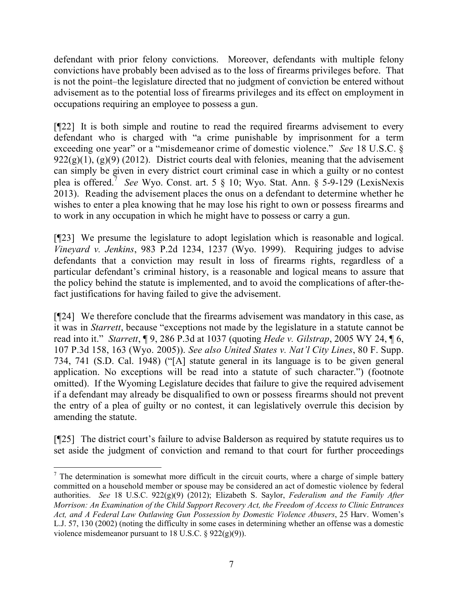defendant with prior felony convictions. Moreover, defendants with multiple felony convictions have probably been advised as to the loss of firearms privileges before. That is not the point–the legislature directed that no judgment of conviction be entered without advisement as to the potential loss of firearms privileges and its effect on employment in occupations requiring an employee to possess a gun.

[¶22] It is both simple and routine to read the required firearms advisement to every defendant who is charged with "a crime punishable by imprisonment for a term exceeding one year" or a "misdemeanor crime of domestic violence." *See* 18 U.S.C. §  $922(g)(1)$ ,  $(g)(9)(2012)$ . District courts deal with felonies, meaning that the advisement can simply be given in every district court criminal case in which a guilty or no contest plea is offered.<sup>7</sup> *See* Wyo. Const. art. 5 § 10; Wyo. Stat. Ann. § 5-9-129 (LexisNexis 2013). Reading the advisement places the onus on a defendant to determine whether he wishes to enter a plea knowing that he may lose his right to own or possess firearms and to work in any occupation in which he might have to possess or carry a gun.

[¶23] We presume the legislature to adopt legislation which is reasonable and logical. *Vineyard v. Jenkins*, 983 P.2d 1234, 1237 (Wyo. 1999). Requiring judges to advise defendants that a conviction may result in loss of firearms rights, regardless of a particular defendant's criminal history, is a reasonable and logical means to assure that the policy behind the statute is implemented, and to avoid the complications of after-thefact justifications for having failed to give the advisement.

[¶24] We therefore conclude that the firearms advisement was mandatory in this case, as it was in *Starrett*, because "exceptions not made by the legislature in a statute cannot be read into it." *Starrett*, ¶ 9, 286 P.3d at 1037 (quoting *Hede v. Gilstrap*, 2005 WY 24, ¶ 6, 107 P.3d 158, 163 (Wyo. 2005)). *See also United States v. Nat'l City Lines*, 80 F. Supp. 734, 741 (S.D. Cal. 1948) ("[A] statute general in its language is to be given general application. No exceptions will be read into a statute of such character.") (footnote omitted). If the Wyoming Legislature decides that failure to give the required advisement if a defendant may already be disqualified to own or possess firearms should not prevent the entry of a plea of guilty or no contest, it can legislatively overrule this decision by amending the statute.

[¶25] The district court's failure to advise Balderson as required by statute requires us to set aside the judgment of conviction and remand to that court for further proceedings

 $\overline{a}$ 

 $<sup>7</sup>$  The determination is somewhat more difficult in the circuit courts, where a charge of simple battery</sup> committed on a household member or spouse may be considered an act of domestic violence by federal authorities. *See* 18 U.S.C. 922(g)(9) (2012); Elizabeth S. Saylor, *Federalism and the Family After Morrison: An Examination of the Child Support Recovery Act, the Freedom of Access to Clinic Entrances Act, and A Federal Law Outlawing Gun Possession by Domestic Violence Abusers*, 25 Harv. Women's L.J. 57, 130 (2002) (noting the difficulty in some cases in determining whether an offense was a domestic violence misdemeanor pursuant to 18 U.S.C.  $\S 922(g)(9)$ ).